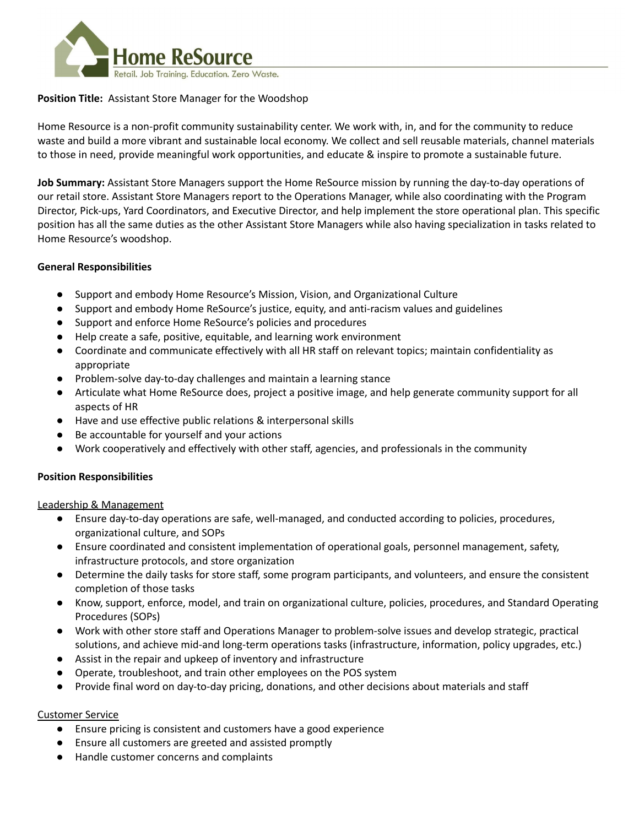

## **Position Title:** Assistant Store Manager for the Woodshop

Home Resource is a non-profit community sustainability center. We work with, in, and for the community to reduce waste and build a more vibrant and sustainable local economy. We collect and sell reusable materials, channel materials to those in need, provide meaningful work opportunities, and educate & inspire to promote a sustainable future.

**Job Summary:** Assistant Store Managers support the Home ReSource mission by running the day-to-day operations of our retail store. Assistant Store Managers report to the Operations Manager, while also coordinating with the Program Director, Pick-ups, Yard Coordinators, and Executive Director, and help implement the store operational plan. This specific position has all the same duties as the other Assistant Store Managers while also having specialization in tasks related to Home Resource's woodshop.

### **General Responsibilities**

- Support and embody Home Resource's Mission, Vision, and Organizational Culture
- Support and embody Home ReSource's justice, equity, and anti-racism values and guidelines
- Support and enforce Home ReSource's policies and procedures
- Help create a safe, positive, equitable, and learning work environment
- Coordinate and communicate effectively with all HR staff on relevant topics; maintain confidentiality as appropriate
- Problem-solve day-to-day challenges and maintain a learning stance
- Articulate what Home ReSource does, project a positive image, and help generate community support for all aspects of HR
- Have and use effective public relations & interpersonal skills
- Be accountable for yourself and your actions
- Work cooperatively and effectively with other staff, agencies, and professionals in the community

## **Position Responsibilities**

Leadership & Management

- Ensure day-to-day operations are safe, well-managed, and conducted according to policies, procedures, organizational culture, and SOPs
- Ensure coordinated and consistent implementation of operational goals, personnel management, safety, infrastructure protocols, and store organization
- Determine the daily tasks for store staff, some program participants, and volunteers, and ensure the consistent completion of those tasks
- Know, support, enforce, model, and train on organizational culture, policies, procedures, and Standard Operating Procedures (SOPs)
- Work with other store staff and Operations Manager to problem-solve issues and develop strategic, practical solutions, and achieve mid-and long-term operations tasks (infrastructure, information, policy upgrades, etc.)
- Assist in the repair and upkeep of inventory and infrastructure
- Operate, troubleshoot, and train other employees on the POS system
- Provide final word on day-to-day pricing, donations, and other decisions about materials and staff

#### Customer Service

- Ensure pricing is consistent and customers have a good experience
- Ensure all customers are greeted and assisted promptly
- Handle customer concerns and complaints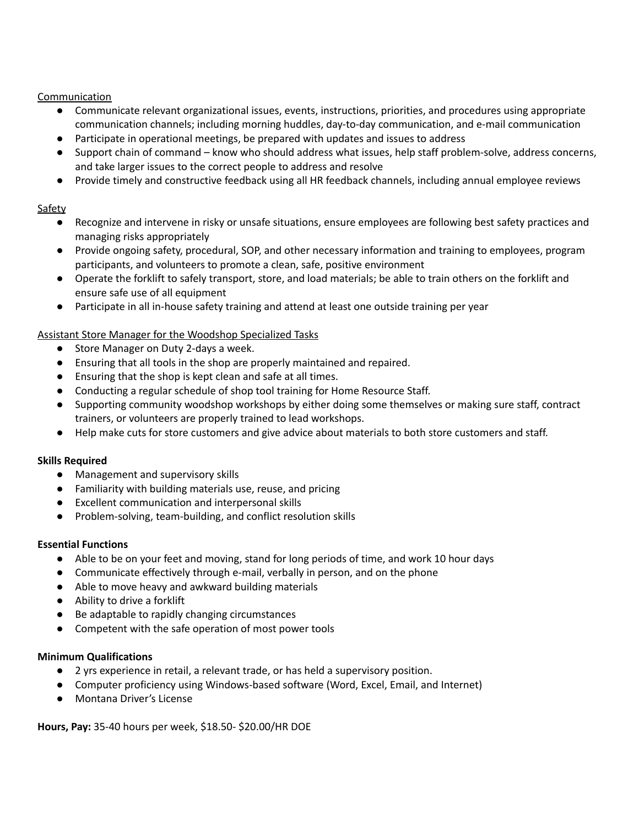Communication

- Communicate relevant organizational issues, events, instructions, priorities, and procedures using appropriate communication channels; including morning huddles, day-to-day communication, and e-mail communication
- Participate in operational meetings, be prepared with updates and issues to address
- Support chain of command know who should address what issues, help staff problem-solve, address concerns, and take larger issues to the correct people to address and resolve
- Provide timely and constructive feedback using all HR feedback channels, including annual employee reviews

# Safety

- Recognize and intervene in risky or unsafe situations, ensure employees are following best safety practices and managing risks appropriately
- Provide ongoing safety, procedural, SOP, and other necessary information and training to employees, program participants, and volunteers to promote a clean, safe, positive environment
- Operate the forklift to safely transport, store, and load materials; be able to train others on the forklift and ensure safe use of all equipment
- Participate in all in-house safety training and attend at least one outside training per year

## Assistant Store Manager for the Woodshop Specialized Tasks

- Store Manager on Duty 2-days a week.
- Ensuring that all tools in the shop are properly maintained and repaired.
- Ensuring that the shop is kept clean and safe at all times.
- Conducting a regular schedule of shop tool training for Home Resource Staff.
- Supporting community woodshop workshops by either doing some themselves or making sure staff, contract trainers, or volunteers are properly trained to lead workshops.
- Help make cuts for store customers and give advice about materials to both store customers and staff.

## **Skills Required**

- Management and supervisory skills
- Familiarity with building materials use, reuse, and pricing
- Excellent communication and interpersonal skills
- Problem-solving, team-building, and conflict resolution skills

## **Essential Functions**

- Able to be on your feet and moving, stand for long periods of time, and work 10 hour days
- Communicate effectively through e-mail, verbally in person, and on the phone
- Able to move heavy and awkward building materials
- Ability to drive a forklift
- Be adaptable to rapidly changing circumstances
- Competent with the safe operation of most power tools

## **Minimum Qualifications**

- 2 yrs experience in retail, a relevant trade, or has held a supervisory position.
- Computer proficiency using Windows-based software (Word, Excel, Email, and Internet)
- Montana Driver's License

**Hours, Pay:** 35-40 hours per week, \$18.50- \$20.00/HR DOE